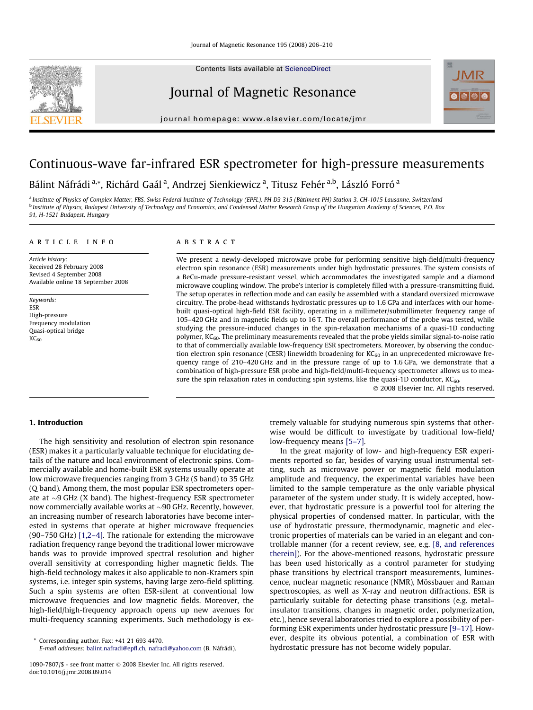Contents lists available at [ScienceDirect](http://www.sciencedirect.com/science/journal/10907807)

## Journal of Magnetic Resonance

journal homepage: [www.elsevier.com/locate/jmr](http://www.elsevier.com/locate/jmr)



# Continuous-wave far-infrared ESR spectrometer for high-pressure measurements

Bálint Náfrádi <sup>a,</sup>\*, Richárd Gaál <sup>a</sup>, Andrzej Sienkiewicz <sup>a</sup>, Titusz Fehér <sup>a,b</sup>, László Forró <sup>a</sup>

<sup>a</sup> Institute of Physics of Complex Matter, FBS, Swiss Federal Institute of Technology (EPFL), PH D3 315 (Batiment PH) Station 3, CH-1015 Lausanne, Switzerland ^ <sup>b</sup> Institute of Physics, Budapest University of Technology and Economics, and Condensed Matter Research Group of the Hungarian Academy of Sciences, P.O. Box 91, H-1521 Budapest, Hungary

### article info

Article history: Received 28 February 2008 Revised 4 September 2008 Available online 18 September 2008

Keywords: ESR High-pressure Frequency modulation Quasi-optical bridge  $KC<sub>60</sub>$ 

## **ABSTRACT**

We present a newly-developed microwave probe for performing sensitive high-field/multi-frequency electron spin resonance (ESR) measurements under high hydrostatic pressures. The system consists of a BeCu-made pressure-resistant vessel, which accommodates the investigated sample and a diamond microwave coupling window. The probe's interior is completely filled with a pressure-transmitting fluid. The setup operates in reflection mode and can easily be assembled with a standard oversized microwave circuitry. The probe-head withstands hydrostatic pressures up to 1.6 GPa and interfaces with our homebuilt quasi-optical high-field ESR facility, operating in a millimeter/submillimeter frequency range of 105–420 GHz and in magnetic fields up to 16 T. The overall performance of the probe was tested, while studying the pressure-induced changes in the spin-relaxation mechanisms of a quasi-1D conducting polymer, KC<sub>60</sub>. The preliminary measurements revealed that the probe yields similar signal-to-noise ratio to that of commercially available low-frequency ESR spectrometers. Moreover, by observing the conduction electron spin resonance (CESR) linewidth broadening for  $KC_{60}$  in an unprecedented microwave frequency range of 210–420 GHz and in the pressure range of up to 1.6 GPa, we demonstrate that a combination of high-pressure ESR probe and high-field/multi-frequency spectrometer allows us to measure the spin relaxation rates in conducting spin systems, like the quasi-1D conductor,  $KC_{60}$ .

- 2008 Elsevier Inc. All rights reserved.

## 1. Introduction

The high sensitivity and resolution of electron spin resonance (ESR) makes it a particularly valuable technique for elucidating details of the nature and local environment of electronic spins. Commercially available and home-built ESR systems usually operate at low microwave frequencies ranging from 3 GHz (S band) to 35 GHz (Q band). Among them, the most popular ESR spectrometers operate at  ${\sim}9\,$  GHz (X band). The highest-frequency ESR spectrometer now commercially available works at  $\sim$ 90 GHz. Recently, however, an increasing number of research laboratories have become interested in systems that operate at higher microwave frequencies (90–750 GHz) [\[1,2–4\].](#page-4-0) The rationale for extending the microwave radiation frequency range beyond the traditional lower microwave bands was to provide improved spectral resolution and higher overall sensitivity at corresponding higher magnetic fields. The high-field technology makes it also applicable to non-Kramers spin systems, i.e. integer spin systems, having large zero-field splitting. Such a spin systems are often ESR-silent at conventional low microwave frequencies and low magnetic fields. Moreover, the high-field/high-frequency approach opens up new avenues for multi-frequency scanning experiments. Such methodology is extremely valuable for studying numerous spin systems that otherwise would be difficult to investigate by traditional low-field/ low-frequency means [\[5–7\].](#page-4-0)

In the great majority of low- and high-frequency ESR experiments reported so far, besides of varying usual instrumental setting, such as microwave power or magnetic field modulation amplitude and frequency, the experimental variables have been limited to the sample temperature as the only variable physical parameter of the system under study. It is widely accepted, however, that hydrostatic pressure is a powerful tool for altering the physical properties of condensed matter. In particular, with the use of hydrostatic pressure, thermodynamic, magnetic and electronic properties of materials can be varied in an elegant and controllable manner (for a recent review, see, e.g. [\[8, and references](#page-4-0) [therein\]\)](#page-4-0). For the above-mentioned reasons, hydrostatic pressure has been used historically as a control parameter for studying phase transitions by electrical transport measurements, luminescence, nuclear magnetic resonance (NMR), Mössbauer and Raman spectroscopies, as well as X-ray and neutron diffractions. ESR is particularly suitable for detecting phase transitions (e.g. metal– insulator transitions, changes in magnetic order, polymerization, etc.), hence several laboratories tried to explore a possibility of performing ESR experiments under hydrostatic pressure [\[9–17\].](#page-4-0) However, despite its obvious potential, a combination of ESR with hydrostatic pressure has not become widely popular.

Corresponding author. Fax: +41 21 693 4470.

E-mail addresses: [balint.nafradi@epfl.ch](mailto:balint.nafradi@epfl.ch), [nafradi@yahoo.com](mailto:nafradi@yahoo.com) (B. Náfrádi).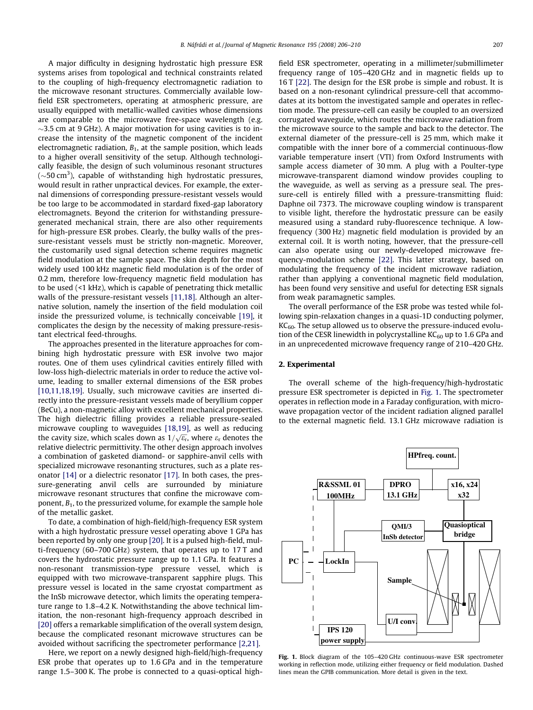<span id="page-1-0"></span>A major difficulty in designing hydrostatic high pressure ESR systems arises from topological and technical constraints related to the coupling of high-frequency electromagnetic radiation to the microwave resonant structures. Commercially available lowfield ESR spectrometers, operating at atmospheric pressure, are usually equipped with metallic-walled cavities whose dimensions are comparable to the microwave free-space wavelength (e.g.  $\sim$ 3.5 cm at 9 GHz). A major motivation for using cavities is to increase the intensity of the magnetic component of the incident electromagnetic radiation,  $B_1$ , at the sample position, which leads to a higher overall sensitivity of the setup. Although technologically feasible, the design of such voluminous resonant structures ( $\sim$ 50 cm<sup>3</sup>), capable of withstanding high hydrostatic pressures, would result in rather unpractical devices. For example, the external dimensions of corresponding pressure-resistant vessels would be too large to be accommodated in stardard fixed-gap laboratory electromagnets. Beyond the criterion for withstanding pressuregenerated mechanical strain, there are also other requirements for high-pressure ESR probes. Clearly, the bulky walls of the pressure-resistant vessels must be strictly non-magnetic. Moreover, the customarily used signal detection scheme requires magnetic field modulation at the sample space. The skin depth for the most widely used 100 kHz magnetic field modulation is of the order of 0.2 mm, therefore low-frequency magnetic field modulation has to be used (<1 kHz), which is capable of penetrating thick metallic walls of the pressure-resistant vessels [\[11,18\]](#page-4-0). Although an alternative solution, namely the insertion of the field modulation coil inside the pressurized volume, is technically conceivable [\[19\],](#page-4-0) it complicates the design by the necessity of making pressure-resistant electrical feed-throughs.

The approaches presented in the literature approaches for combining high hydrostatic pressure with ESR involve two major routes. One of them uses cylindrical cavities entirely filled with low-loss high-dielectric materials in order to reduce the active volume, leading to smaller external dimensions of the ESR probes [\[10,11,18,19\]](#page-4-0). Usually, such microwave cavities are inserted directly into the pressure-resistant vessels made of beryllium copper (BeCu), a non-magnetic alloy with excellent mechanical properties. The high dielectric filling provides a reliable pressure-sealed microwave coupling to waveguides [\[18,19\]](#page-4-0), as well as reducing the cavity size, which scales down as  $1/\sqrt{\epsilon_r}$ , where  $\epsilon_r$  denotes the relative dielectric permittivity. The other design approach involves a combination of gasketed diamond- or sapphire-anvil cells with specialized microwave resonanting structures, such as a plate resonator [\[14\]](#page-4-0) or a dielectric resonator [\[17\].](#page-4-0) In both cases, the pressure-generating anvil cells are surrounded by miniature microwave resonant structures that confine the microwave component,  $B_1$ , to the pressurized volume, for example the sample hole of the metallic gasket.

To date, a combination of high-field/high-frequency ESR system with a high hydrostatic pressure vessel operating above 1 GPa has been reported by only one group [\[20\].](#page-4-0) It is a pulsed high-field, multi-frequency (60–700 GHz) system, that operates up to 17 T and covers the hydrostatic pressure range up to 1.1 GPa. It features a non-resonant transmission-type pressure vessel, which is equipped with two microwave-transparent sapphire plugs. This pressure vessel is located in the same cryostat compartment as the InSb microwave detector, which limits the operating temperature range to 1.8–4.2 K. Notwithstanding the above technical limitation, the non-resonant high-frequency approach described in [\[20\]](#page-4-0) offers a remarkable simplification of the overall system design, because the complicated resonant microwave structures can be avoided without sacrificing the spectrometer performance [\[2,21\]](#page-4-0).

Here, we report on a newly designed high-field/high-frequency ESR probe that operates up to 1.6 GPa and in the temperature range 1.5–300 K. The probe is connected to a quasi-optical highfield ESR spectrometer, operating in a millimeter/submillimeter frequency range of 105–420 GHz and in magnetic fields up to 16 T [\[22\].](#page-4-0) The design for the ESR probe is simple and robust. It is based on a non-resonant cylindrical pressure-cell that accommodates at its bottom the investigated sample and operates in reflection mode. The pressure-cell can easily be coupled to an oversized corrugated waveguide, which routes the microwave radiation from the microwave source to the sample and back to the detector. The external diameter of the pressure-cell is 25 mm, which make it compatible with the inner bore of a commercial continuous-flow variable temperature insert (VTI) from Oxford Instruments with sample access diameter of 30 mm. A plug with a Poulter-type microwave-transparent diamond window provides coupling to the waveguide, as well as serving as a pressure seal. The pressure-cell is entirely filled with a pressure-transmitting fluid: Daphne oil 7373. The microwave coupling window is transparent to visible light, therefore the hydrostatic pressure can be easily measured using a standard ruby-fluorescence technique. A lowfrequency (300 Hz) magnetic field modulation is provided by an external coil. It is worth noting, however, that the pressure-cell can also operate using our newly-developed microwave frequency-modulation scheme [\[22\].](#page-4-0) This latter strategy, based on modulating the frequency of the incident microwave radiation, rather than applying a conventional magnetic field modulation, has been found very sensitive and useful for detecting ESR signals from weak paramagnetic samples.

The overall performance of the ESR probe was tested while following spin-relaxation changes in a quasi-1D conducting polymer,  $KC<sub>60</sub>$ . The setup allowed us to observe the pressure-induced evolution of the CESR linewidth in polycrystalline  $KC_{60}$  up to 1.6 GPa and in an unprecedented microwave frequency range of 210–420 GHz.

## 2. Experimental

The overall scheme of the high-frequency/high-hydrostatic pressure ESR spectrometer is depicted in Fig. 1. The spectrometer operates in reflection mode in a Faraday configuration, with microwave propagation vector of the incident radiation aligned parallel to the external magnetic field. 13.1 GHz microwave radiation is



Fig. 1. Block diagram of the 105–420 GHz continuous-wave ESR spectrometer working in reflection mode, utilizing either frequency or field modulation. Dashed lines mean the GPIB communication. More detail is given in the text.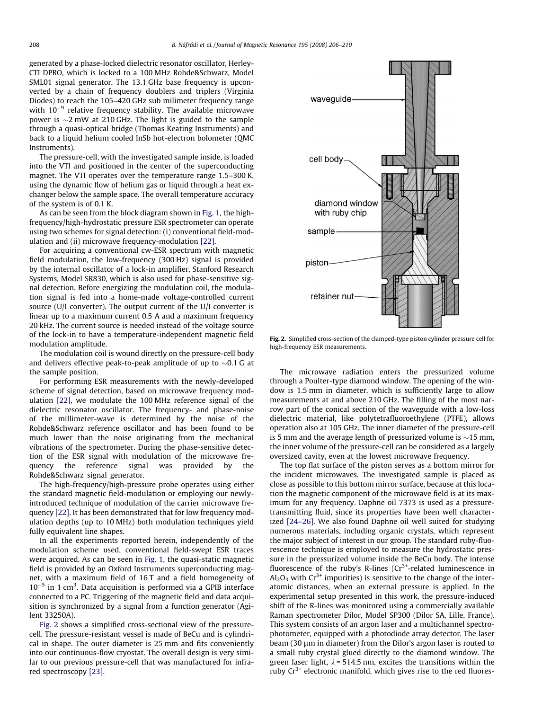<span id="page-2-0"></span>generated by a phase-locked dielectric resonator oscillator, Herley-CTI DPRO, which is locked to a 100 MHz Rohde&Schwarz, Model SML01 signal generator. The 13.1 GHz base frequency is upconverted by a chain of frequency doublers and triplers (Virginia Diodes) to reach the 105–420 GHz sub milimeter frequency range with  $10^{-9}$  relative frequency stability. The available microwave power is  ${\sim}2\ \text{mW}$  at 210 GHz. The light is guided to the sample through a quasi-optical bridge (Thomas Keating Instruments) and back to a liquid helium cooled InSb hot-electron bolometer (QMC Instruments).

The pressure-cell, with the investigated sample inside, is loaded into the VTI and positioned in the center of the superconducting magnet. The VTI operates over the temperature range 1.5–300 K, using the dynamic flow of helium gas or liquid through a heat exchanger below the sample space. The overall temperature accuracy of the system is of 0.1 K.

As can be seen from the block diagram shown in [Fig. 1,](#page-1-0) the highfrequency/high-hydrostatic pressure ESR spectrometer can operate using two schemes for signal detection: (i) conventional field-modulation and (ii) microwave frequency-modulation [\[22\].](#page-4-0)

For acquiring a conventional cw-ESR spectrum with magnetic field modulation, the low-frequency (300 Hz) signal is provided by the internal oscillator of a lock-in amplifier, Stanford Research Systems, Model SR830, which is also used for phase-sensitive signal detection. Before energizing the modulation coil, the modulation signal is fed into a home-made voltage-controlled current source (U/I converter). The output current of the U/I converter is linear up to a maximum current 0.5 A and a maximum frequency 20 kHz. The current source is needed instead of the voltage source of the lock-in to have a temperature-independent magnetic field modulation amplitude.

The modulation coil is wound directly on the pressure-cell body and delivers effective peak-to-peak amplitude of up to  ${\sim}0.1$  G at the sample position.

For performing ESR measurements with the newly-developed scheme of signal detection, based on microwave frequency modulation [\[22\],](#page-4-0) we modulate the 100 MHz reference signal of the dielectric resonator oscillator. The frequency- and phase-noise of the millimeter-wave is determined by the noise of the Rohde&Schwarz reference oscillator and has been found to be much lower than the noise originating from the mechanical vibrations of the spectrometer. During the phase-sensitive detection of the ESR signal with modulation of the microwave frequency the reference signal was provided by the Rohde&Schwarz signal generator.

The high-frequency/high-pressure probe operates using either the standard magnetic field-modulation or employing our newlyintroduced technique of modulation of the carrier microwave frequency [\[22\]](#page-4-0). It has been demonstrated that for low frequency modulation depths (up to 10 MHz) both modulation techniques yield fully equivalent line shapes.

In all the experiments reported herein, independently of the modulation scheme used, conventional field-swept ESR traces were acquired. As can be seen in [Fig. 1](#page-1-0), the quasi-static magnetic field is provided by an Oxford Instruments superconducting magnet, with a maximum field of 16 T and a field homogeneity of  $10^{-5}$  in 1 cm<sup>3</sup>. Data acquisition is performed via a GPIB interface connected to a PC. Triggering of the magnetic field and data acquisition is synchronized by a signal from a function generator (Agilent 33250A).

Fig. 2 shows a simplified cross-sectional view of the pressurecell. The pressure-resistant vessel is made of BeCu and is cylindrical in shape. The outer diameter is 25 mm and fits conveniently into our continuous-flow cryostat. The overall design is very similar to our previous pressure-cell that was manufactured for infrared spectroscopy [\[23\]](#page-4-0).



Fig. 2. Simplified cross-section of the clamped-type piston cylinder pressure cell for high-frequency ESR measurements.

The microwave radiation enters the pressurized volume through a Poulter-type diamond window. The opening of the window is 1.5 mm in diameter, which is sufficiently large to allow measurements at and above 210 GHz. The filling of the most narrow part of the conical section of the waveguide with a low-loss dielectric material, like polytetrafluoroethylene (PTFE), allows operation also at 105 GHz. The inner diameter of the pressure-cell is 5 mm and the average length of pressurized volume is  $\sim$ 15 mm, the inner volume of the pressure-cell can be considered as a largely oversized cavity, even at the lowest microwave frequency.

The top flat surface of the piston serves as a bottom mirror for the incident microwaves. The investigated sample is placed as close as possible to this bottom mirror surface, because at this location the magnetic component of the microwave field is at its maximum for any frequency. Daphne oil 7373 is used as a pressuretransmitting fluid, since its properties have been well characterized [\[24–26\]](#page-4-0). We also found Daphne oil well suited for studying numerous materials, including organic crystals, which represent the major subject of interest in our group. The standard ruby-fluorescence technique is employed to measure the hydrostatic pressure in the pressurized volume inside the BeCu body. The intense fluorescence of the ruby's R-lines  $(Cr<sup>3+</sup>-related luminoscence in$  $Al_2O_3$  with  $Cr^{3+}$  impurities) is sensitive to the change of the interatomic distances, when an external pressure is applied. In the experimental setup presented in this work, the pressure-induced shift of the R-lines was monitored using a commercially available Raman spectrometer Dilor, Model SP300 (Dilor SA, Lille, France). This system consists of an argon laser and a multichannel spectrophotometer, equipped with a photodiode array detector. The laser beam (30 µm in diameter) from the Dilor's argon laser is routed to a small ruby crystal glued directly to the diamond window. The green laser light,  $\lambda$  = 514.5 nm, excites the transitions within the ruby  $Cr^{3+}$  electronic manifold, which gives rise to the red fluores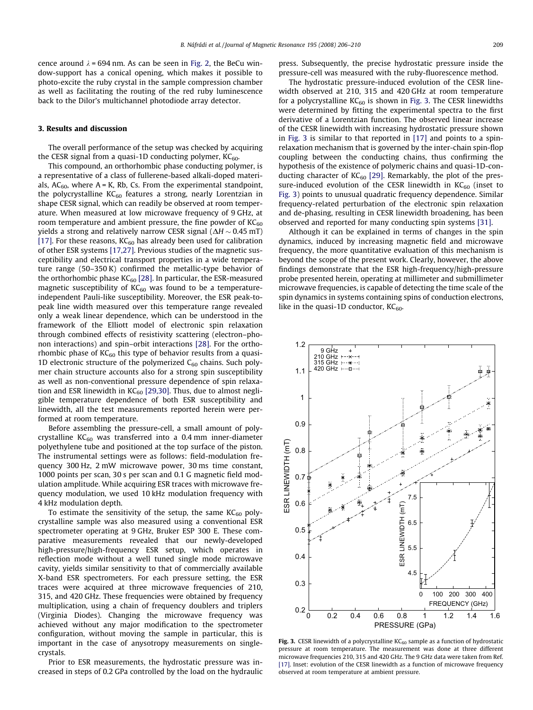<span id="page-3-0"></span>cence around  $\lambda$  = 694 nm. As can be seen in [Fig. 2,](#page-2-0) the BeCu window-support has a conical opening, which makes it possible to photo-excite the ruby crystal in the sample compression chamber as well as facilitating the routing of the red ruby luminescence back to the Dilor's multichannel photodiode array detector.

#### 3. Results and discussion

The overall performance of the setup was checked by acquiring the CESR signal from a quasi-1D conducting polymer,  $KC_{60}$ .

This compound, an orthorhombic phase conducting polymer, is a representative of a class of fullerene-based alkali-doped materials,  $AC_{60}$ , where  $A = K$ , Rb, Cs. From the experimental standpoint, the polycrystalline  $KC_{60}$  features a strong, nearly Lorentzian in shape CESR signal, which can readily be observed at room temperature. When measured at low microwave frequency of 9 GHz, at room temperature and ambient pressure, the fine powder of  $KC_{60}$ yields a strong and relatively narrow CESR signal  $(\Delta H \sim 0.45 \text{ mT})$ [\[17\]](#page-4-0). For these reasons,  $KC_{60}$  has already been used for calibration of other ESR systems [\[17,27\].](#page-4-0) Previous studies of the magnetic susceptibility and electrical transport properties in a wide temperature range (50–350 K) confirmed the metallic-type behavior of the orthorhombic phase  $KC_{60}$  [\[28\]](#page-4-0). In particular, the ESR-measured magnetic susceptibility of  $KC_{60}$  was found to be a temperatureindependent Pauli-like susceptibility. Moreover, the ESR peak-topeak line width measured over this temperature range revealed only a weak linear dependence, which can be understood in the framework of the Elliott model of electronic spin relaxation through combined effects of resistivity scattering (electron–phonon interactions) and spin–orbit interactions [\[28\].](#page-4-0) For the orthorhombic phase of  $KC_{60}$  this type of behavior results from a quasi-1D electronic structure of the polymerized  $C_{60}$  chains. Such polymer chain structure accounts also for a strong spin susceptibility as well as non-conventional pressure dependence of spin relaxation and ESR linewidth in  $KC_{60}$  [\[29,30\]](#page-4-0). Thus, due to almost negligible temperature dependence of both ESR susceptibility and linewidth, all the test measurements reported herein were performed at room temperature.

Before assembling the pressure-cell, a small amount of polycrystalline  $KC_{60}$  was transferred into a 0.4 mm inner-diameter polyethylene tube and positioned at the top surface of the piston. The instrumental settings were as follows: field-modulation frequency 300 Hz, 2 mW microwave power, 30 ms time constant, 1000 points per scan, 30 s per scan and 0.1 G magnetic field modulation amplitude. While acquiring ESR traces with microwave frequency modulation, we used 10 kHz modulation frequency with 4 kHz modulation depth.

To estimate the sensitivity of the setup, the same  $KC_{60}$  polycrystalline sample was also measured using a conventional ESR spectrometer operating at 9 GHz, Bruker ESP 300 E. These comparative measurements revealed that our newly-developed high-pressure/high-frequency ESR setup, which operates in reflection mode without a well tuned single mode microwave cavity, yields similar sensitivity to that of commercially available X-band ESR spectrometers. For each pressure setting, the ESR traces were acquired at three microwave frequencies of 210, 315, and 420 GHz. These frequencies were obtained by frequency multiplication, using a chain of frequency doublers and triplers (Virginia Diodes). Changing the microwave frequency was achieved without any major modification to the spectrometer configuration, without moving the sample in particular, this is important in the case of anysotropy measurements on singlecrystals.

Prior to ESR measurements, the hydrostatic pressure was increased in steps of 0.2 GPa controlled by the load on the hydraulic press. Subsequently, the precise hydrostatic pressure inside the pressure-cell was measured with the ruby-fluorescence method.

The hydrostatic pressure-induced evolution of the CESR linewidth observed at 210, 315 and 420 GHz at room temperature for a polycrystalline  $KC_{60}$  is shown in Fig. 3. The CESR linewidths were determined by fitting the experimental spectra to the first derivative of a Lorentzian function. The observed linear increase of the CESR linewidth with increasing hydrostatic pressure shown in Fig. 3 is similar to that reported in [\[17\]](#page-4-0) and points to a spinrelaxation mechanism that is governed by the inter-chain spin-flop coupling between the conducting chains, thus confirming the hypothesis of the existence of polymeric chains and quasi-1D-conducting character of  $KC_{60}$  [\[29\]](#page-4-0). Remarkably, the plot of the pressure-induced evolution of the CESR linewidth in  $KC_{60}$  (inset to Fig. 3) points to unusual quadratic frequency dependence. Similar frequency-related perturbation of the electronic spin relaxation and de-phasing, resulting in CESR linewidth broadening, has been observed and reported for many conducting spin systems [\[31\]](#page-4-0).

Although it can be explained in terms of changes in the spin dynamics, induced by increasing magnetic field and microwave frequency, the more quantitative evaluation of this mechanism is beyond the scope of the present work. Clearly, however, the above findings demonstrate that the ESR high-frequency/high-pressure probe presented herein, operating at millimeter and submillimeter microwave frequencies, is capable of detecting the time scale of the spin dynamics in systems containing spins of conduction electrons, like in the quasi-1D conductor,  $KC_{60}$ .



Fig. 3. CESR linewidth of a polycrystalline  $KC_{60}$  sample as a function of hydrostatic pressure at room temperature. The measurement was done at three different microwave frequencies 210, 315 and 420 GHz. The 9 GHz data were taken from Ref. [\[17\].](#page-4-0) Inset: evolution of the CESR linewidth as a function of microwave frequency observed at room temperature at ambient pressure.